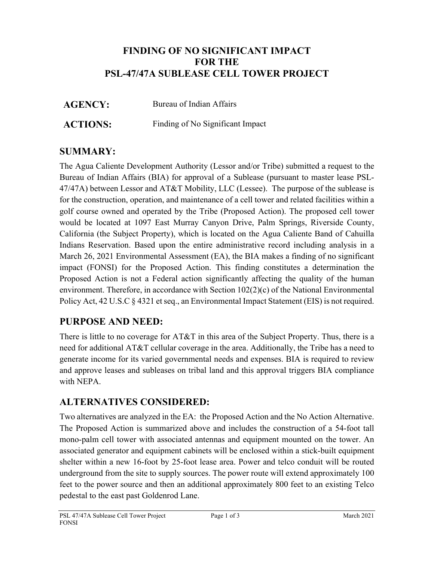## **FINDING OF NO SIGNIFICANT IMPACT FOR THE PSL-47/47A SUBLEASE CELL TOWER PROJECT**

**AGENCY:** Bureau of Indian Affairs

**ACTIONS:** Finding of No Significant Impact

## **SUMMARY:**

The Agua Caliente Development Authority (Lessor and/or Tribe) submitted a request to the Bureau of Indian Affairs (BIA) for approval of a Sublease (pursuant to master lease PSL-47/47A) between Lessor and AT&T Mobility, LLC (Lessee). The purpose of the sublease is for the construction, operation, and maintenance of a cell tower and related facilities within a golf course owned and operated by the Tribe (Proposed Action). The proposed cell tower would be located at 1097 East Murray Canyon Drive, Palm Springs, Riverside County, California (the Subject Property), which is located on the Agua Caliente Band of Cahuilla Indians Reservation. Based upon the entire administrative record including analysis in a March 26, 2021 Environmental Assessment (EA), the BIA makes a finding of no significant impact (FONSI) for the Proposed Action. This finding constitutes a determination the Proposed Action is not a Federal action significantly affecting the quality of the human environment. Therefore, in accordance with Section 102(2)(c) of the National Environmental Policy Act, 42 U.S.C § 4321 et seq., an Environmental Impact Statement (EIS) is not required.

## **PURPOSE AND NEED:**

There is little to no coverage for AT&T in this area of the Subject Property. Thus, there is a need for additional AT&T cellular coverage in the area. Additionally, the Tribe has a need to generate income for its varied governmental needs and expenses. BIA is required to review and approve leases and subleases on tribal land and this approval triggers BIA compliance with NEPA.

## **ALTERNATIVES CONSIDERED:**

Two alternatives are analyzed in the EA: the Proposed Action and the No Action Alternative. The Proposed Action is summarized above and includes the construction of a 54-foot tall mono-palm cell tower with associated antennas and equipment mounted on the tower. An associated generator and equipment cabinets will be enclosed within a stick-built equipment shelter within a new 16-foot by 25-foot lease area. Power and telco conduit will be routed underground from the site to supply sources. The power route will extend approximately 100 feet to the power source and then an additional approximately 800 feet to an existing Telco pedestal to the east past Goldenrod Lane.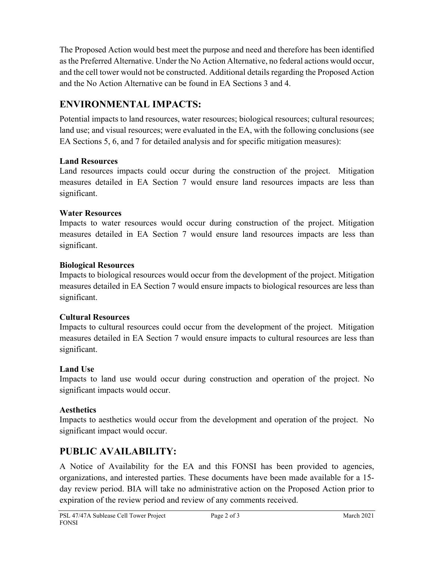The Proposed Action would best meet the purpose and need and therefore has been identified as the Preferred Alternative. Under the No Action Alternative, no federal actions would occur, and the cell tower would not be constructed. Additional details regarding the Proposed Action and the No Action Alternative can be found in EA Sections 3 and 4.

# **ENVIRONMENTAL IMPACTS:**

Potential impacts to land resources, water resources; biological resources; cultural resources; land use; and visual resources; were evaluated in the EA, with the following conclusions (see EA Sections 5, 6, and 7 for detailed analysis and for specific mitigation measures):

#### **Land Resources**

Land resources impacts could occur during the construction of the project. Mitigation measures detailed in EA Section 7 would ensure land resources impacts are less than significant.

#### **Water Resources**

Impacts to water resources would occur during construction of the project. Mitigation measures detailed in EA Section 7 would ensure land resources impacts are less than significant.

#### **Biological Resources**

Impacts to biological resources would occur from the development of the project. Mitigation measures detailed in EA Section 7 would ensure impacts to biological resources are less than significant.

#### **Cultural Resources**

Impacts to cultural resources could occur from the development of the project. Mitigation measures detailed in EA Section 7 would ensure impacts to cultural resources are less than significant.

## **Land Use**

Impacts to land use would occur during construction and operation of the project. No significant impacts would occur.

## **Aesthetics**

Impacts to aesthetics would occur from the development and operation of the project. No significant impact would occur.

# **PUBLIC AVAILABILITY:**

A Notice of Availability for the EA and this FONSI has been provided to agencies, organizations, and interested parties. These documents have been made available for a 15 day review period. BIA will take no administrative action on the Proposed Action prior to expiration of the review period and review of any comments received.